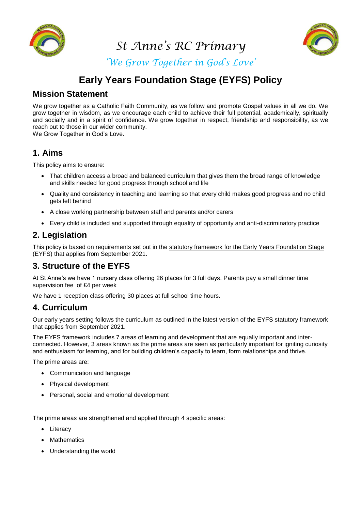

*St Anne's RC Primary*



*'We Grow Together in God's Love'*

# **Early Years Foundation Stage (EYFS) Policy**

# **Mission Statement**

We grow together as a Catholic Faith Community, as we follow and promote Gospel values in all we do. We grow together in wisdom, as we encourage each child to achieve their full potential, academically, spiritually and socially and in a spirit of confidence. We grow together in respect, friendship and responsibility, as we reach out to those in our wider community.

We Grow Together in God's Love.

## **1. Aims**

This policy aims to ensure:

- That children access a broad and balanced curriculum that gives them the broad range of knowledge and skills needed for good progress through school and life
- Quality and consistency in teaching and learning so that every child makes good progress and no child gets left behind
- A close working partnership between staff and parents and/or carers
- Every child is included and supported through equality of opportunity and anti-discriminatory practice

## **2. Legislation**

This policy is based on requirements set out in the statutory framework for the Early Years Foundation Stage (EYFS) that [applies from September 2021.](https://www.gov.uk/government/publications/early-years-foundation-stage-framework--2/)

# **3. Structure of the EYFS**

At St Anne's we have 1 nursery class offering 26 places for 3 full days. Parents pay a small dinner time supervision fee of £4 per week

We have 1 reception class offering 30 places at full school time hours.

### **4. Curriculum**

Our early years setting follows the curriculum as outlined in the latest version of the EYFS statutory framework that applies from September 2021.

The EYFS framework includes 7 areas of learning and development that are equally important and interconnected. However, 3 areas known as the prime areas are seen as particularly important for igniting curiosity and enthusiasm for learning, and for building children's capacity to learn, form relationships and thrive.

The prime areas are:

- Communication and language
- Physical development
- Personal, social and emotional development

The prime areas are strengthened and applied through 4 specific areas:

- Literacy
- **Mathematics**
- Understanding the world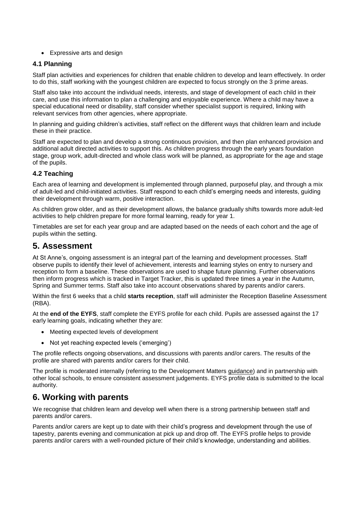Expressive arts and design

#### **4.1 Planning**

Staff plan activities and experiences for children that enable children to develop and learn effectively. In order to do this, staff working with the youngest children are expected to focus strongly on the 3 prime areas.

Staff also take into account the individual needs, interests, and stage of development of each child in their care, and use this information to plan a challenging and enjoyable experience. Where a child may have a special educational need or disability, staff consider whether specialist support is required, linking with relevant services from other agencies, where appropriate.

In planning and guiding children's activities, staff reflect on the different ways that children learn and include these in their practice.

Staff are expected to plan and develop a strong continuous provision, and then plan enhanced provision and additional adult directed activities to support this. As children progress through the early years foundation stage, group work, adult-directed and whole class work will be planned, as appropriate for the age and stage of the pupils.

#### **4.2 Teaching**

Each area of learning and development is implemented through planned, purposeful play, and through a mix of adult-led and child-initiated activities. Staff respond to each child's emerging needs and interests, guiding their development through warm, positive interaction.

As children grow older, and as their development allows, the balance gradually shifts towards more adult-led activities to help children prepare for more formal learning, ready for year 1.

Timetables are set for each year group and are adapted based on the needs of each cohort and the age of pupils within the setting.

### **5. Assessment**

At St Anne's, ongoing assessment is an integral part of the learning and development processes. Staff observe pupils to identify their level of achievement, interests and learning styles on entry to nursery and reception to form a baseline. These observations are used to shape future planning. Further observations then inform progress which is tracked in Target Tracker, this is updated three times a year in the Autumn, Spring and Summer terms. Staff also take into account observations shared by parents and/or carers.

Within the first 6 weeks that a child **starts reception**, staff will administer the Reception Baseline Assessment (RBA).

At the **end of the EYFS**, staff complete the EYFS profile for each child. Pupils are assessed against the 17 early learning goals, indicating whether they are:

- Meeting expected levels of development
- Not yet reaching expected levels ('emerging')

The profile reflects ongoing observations, and discussions with parents and/or carers. The results of the profile are shared with parents and/or carers for their child.

The profile is moderated internally (referring to the Development Matters [guidance\)](https://www.gov.uk/government/publications/development-matters--2) and in partnership with other local schools, to ensure consistent assessment judgements. EYFS profile data is submitted to the local authority.

# **6. Working with parents**

We recognise that children learn and develop well when there is a strong partnership between staff and parents and/or carers.

Parents and/or carers are kept up to date with their child's progress and development through the use of tapestry, parents evening and communication at pick up and drop off. The EYFS profile helps to provide parents and/or carers with a well-rounded picture of their child's knowledge, understanding and abilities.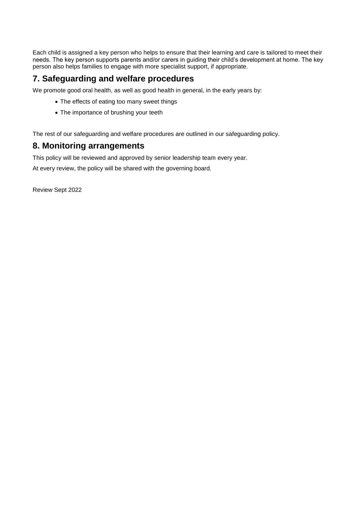Each child is assigned a key person who helps to ensure that their learning and care is tailored to meet their needs. The key person supports parents and/or carers in guiding their child's development at home. The key person also helps families to engage with more specialist support, if appropriate.

# **7. Safeguarding and welfare procedures**

We promote good oral health, as well as good health in general, in the early years by:

- The effects of eating too many sweet things
- The importance of brushing your teeth

The rest of our safeguarding and welfare procedures are outlined in our safeguarding policy.

### **8. Monitoring arrangements**

This policy will be reviewed and approved by senior leadership team every year.

At every review, the policy will be shared with the governing board.

Review Sept 2022